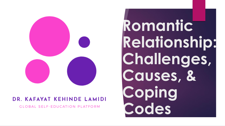

#### **DR. KAFAYAT KEHINDE LAMIDI**

**GLOBAL SELF-EDUCATION PLATFORM** 

**Romantic Relationship: Challenges, Causes, & Coping Codes**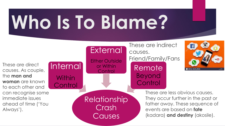## **Who Is To Blame?**

These are direct causes. As couple, the **man and woman** are known to each other and can recognise some immediate issues ahead of time ('You Always').

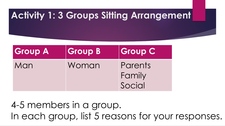#### **Activity 1: 3 Groups Sitting Arrangement**

| <b>Group A</b> | <b>Group B</b> | <b>Group C</b>              |
|----------------|----------------|-----------------------------|
| Man            | Woman          | Parents<br>Family<br>Social |

4-5 members in a group. In each group, list 5 reasons for your responses.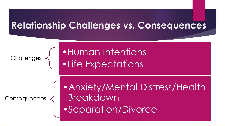#### **Relationship Challenges vs. Consequences**

Challenges

•Human Intentions •Life Expectations

**Consequences** 

•Anxiety/Mental Distress/Health **Breakdown** •Separation/Divorce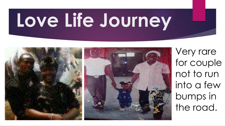## **Love Life Journey**



Very rare for couple not to run into a few bumps in the road.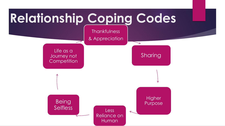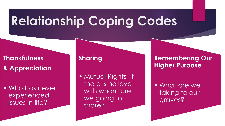### **Relationship Coping Codes**

#### **Thankfulness & Appreciation**

• Who has never experienced issues in life?

#### **Sharing**

• Mutual Rights- If there is no love with whom are we going to share?

#### **Remembering Our Higher Purpose**

• What are we taking to our graves?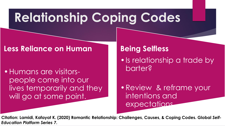### **Relationship Coping Codes**

#### **Less Reliance on Human**

•Humans are visitorspeople come into our lives temporarily and they will go at some point.

#### **Being Selfless**

•Is relationship a trade by barter?

•Review & reframe your intentions and expectations.

**Citation: Lamidi, Kafayat K. (2020) Romantic Relationship: Challenges, Causes, & Coping Codes. Global** *Self-Education Platform Series 7***.**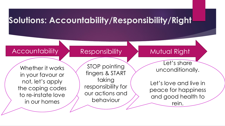#### **Solutions: Accountability/Responsibility/Right**

#### Accountability Responsibility Mutual Right

Whether it works in your favour or not, let's apply the coping codes to re-instate love in our homes

STOP pointing fingers & START taking responsibility for our actions and behaviour

Let's share unconditionally.

Let's love and live in peace for happiness and good health to rein.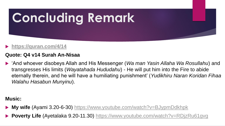# **Concluding Remark**

#### **<https://quran.com/4/14>**

#### **Quote: Q4 v14 Surah An-Nisaa**

 'And whoever disobeys Allah and His Messenger (*Wa man Yasin Allaha Wa Rosullahu*) and transgresses His limits (*Wayatahada Hududahu*) - He will put him into the Fire to abide eternally therein, and he will have a humiliating punishment' (*Yudikhiru Naran Koridan Fihaa Walahu Hasabun Munyinu*).

#### **Music:**

- **My wife** (Ayami 3.20-6-30) <https://www.youtube.com/watch?v=BJypmDdkhpk>
- Poverty Life (Ayetalaka 9.20-11.30) <https://www.youtube.com/watch?v=RDjzRu61gvg>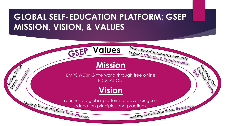#### **GLOBAL SELF-EDUCATION PLATFORM: GSEP MISSION, VISION, & VALUES**

**GSEP Values** 

OSENIA DI MITOS

Done.

ACORE: O Milit



Innovative/Creative/Community Impact: Change & Transformation

POCINICOVIN

OSCIENCISCO CASSINO

EMPOWERING the world through free online EDUCATION.



Your trusted global platform to advancing self-<br>education principles and practices.<br>Making Knowledge Work: Resilience education principles and practices.